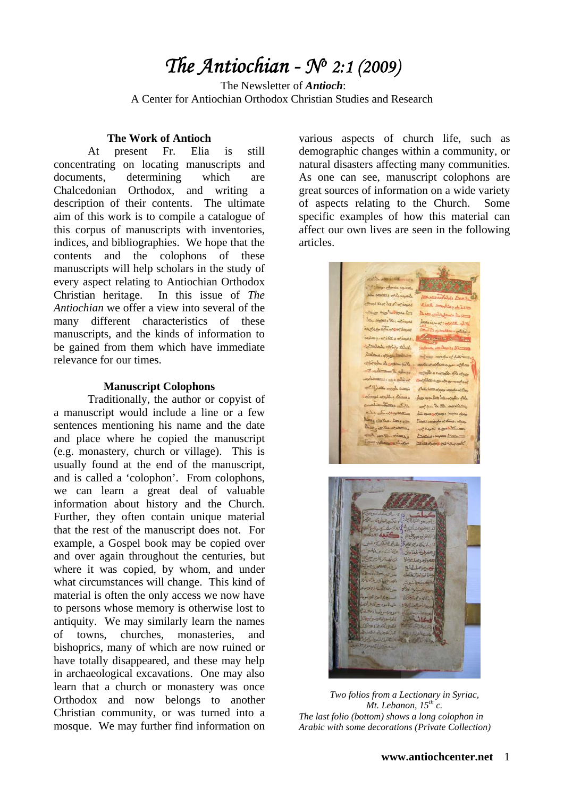# *The Antiochian - No 2:1 (2009)*

 The Newsletter of *Antioch*: A Center for Antiochian Orthodox Christian Studies and Research

#### **The Work of Antioch**

 At present Fr. Elia is still concentrating on locating manuscripts and documents, determining which are Chalcedonian Orthodox, and writing a description of their contents. The ultimate aim of this work is to compile a catalogue of this corpus of manuscripts with inventories, indices, and bibliographies. We hope that the contents and the colophons of these manuscripts will help scholars in the study of every aspect relating to Antiochian Orthodox Christian heritage. In this issue of *The Antiochian* we offer a view into several of the many different characteristics of these manuscripts, and the kinds of information to be gained from them which have immediate relevance for our times.

#### **Manuscript Colophons**

 Traditionally, the author or copyist of a manuscript would include a line or a few sentences mentioning his name and the date and place where he copied the manuscript (e.g. monastery, church or village). This is usually found at the end of the manuscript, and is called a 'colophon'. From colophons, we can learn a great deal of valuable information about history and the Church. Further, they often contain unique material that the rest of the manuscript does not. For example, a Gospel book may be copied over and over again throughout the centuries, but where it was copied, by whom, and under what circumstances will change. This kind of material is often the only access we now have to persons whose memory is otherwise lost to antiquity. We may similarly learn the names of towns, churches, monasteries, and bishoprics, many of which are now ruined or have totally disappeared, and these may help in archaeological excavations. One may also learn that a church or monastery was once Orthodox and now belongs to another Christian community, or was turned into a mosque. We may further find information on various aspects of church life, such as demographic changes within a community, or natural disasters affecting many communities. As one can see, manuscript colophons are great sources of information on a wide variety of aspects relating to the Church. Some specific examples of how this material can affect our own lives are seen in the following articles.



*Two folios from a Lectionary in Syriac, Mt. Lebanon, 15th c. The last folio (bottom) shows a long colophon in Arabic with some decorations (Private Collection)*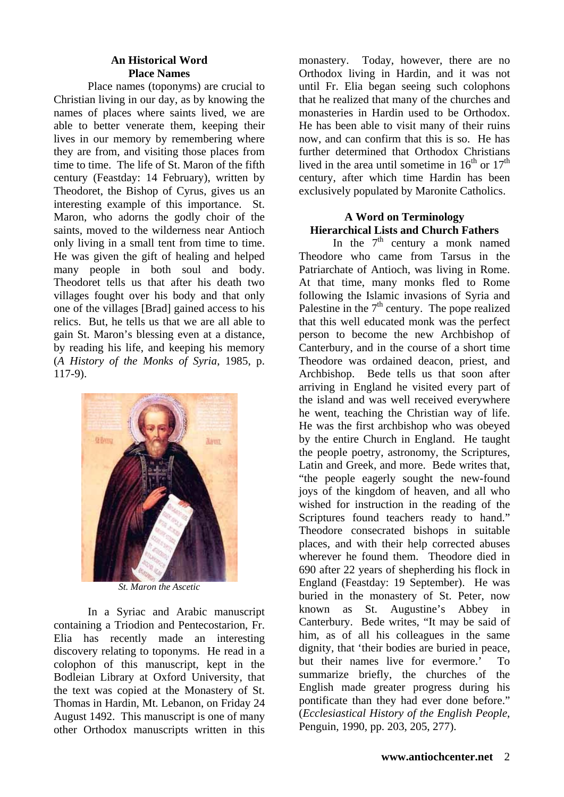## **An Historical Word Place Names**

 Place names (toponyms) are crucial to Christian living in our day, as by knowing the names of places where saints lived, we are able to better venerate them, keeping their lives in our memory by remembering where they are from, and visiting those places from time to time. The life of St. Maron of the fifth century (Feastday: 14 February), written by Theodoret, the Bishop of Cyrus, gives us an interesting example of this importance. St. Maron, who adorns the godly choir of the saints, moved to the wilderness near Antioch only living in a small tent from time to time. He was given the gift of healing and helped many people in both soul and body. Theodoret tells us that after his death two villages fought over his body and that only one of the villages [Brad] gained access to his relics. But, he tells us that we are all able to gain St. Maron's blessing even at a distance, by reading his life, and keeping his memory (*A History of the Monks of Syria*, 1985, p. 117-9).



*St. Maron the Ascetic* 

 In a Syriac and Arabic manuscript containing a Triodion and Pentecostarion, Fr. Elia has recently made an interesting discovery relating to toponyms. He read in a colophon of this manuscript, kept in the Bodleian Library at Oxford University, that the text was copied at the Monastery of St. Thomas in Hardin, Mt. Lebanon, on Friday 24 August 1492. This manuscript is one of many other Orthodox manuscripts written in this monastery. Today, however, there are no Orthodox living in Hardin, and it was not until Fr. Elia began seeing such colophons that he realized that many of the churches and monasteries in Hardin used to be Orthodox. He has been able to visit many of their ruins now, and can confirm that this is so. He has further determined that Orthodox Christians lived in the area until sometime in  $16<sup>th</sup>$  or  $17<sup>th</sup>$ century, after which time Hardin has been exclusively populated by Maronite Catholics.

# **A Word on Terminology Hierarchical Lists and Church Fathers**

In the  $7<sup>th</sup>$  century a monk named Theodore who came from Tarsus in the Patriarchate of Antioch, was living in Rome. At that time, many monks fled to Rome following the Islamic invasions of Syria and Palestine in the  $7<sup>th</sup>$  century. The pope realized that this well educated monk was the perfect person to become the new Archbishop of Canterbury, and in the course of a short time Theodore was ordained deacon, priest, and Archbishop. Bede tells us that soon after arriving in England he visited every part of the island and was well received everywhere he went, teaching the Christian way of life. He was the first archbishop who was obeyed by the entire Church in England. He taught the people poetry, astronomy, the Scriptures, Latin and Greek, and more. Bede writes that, "the people eagerly sought the new-found joys of the kingdom of heaven, and all who wished for instruction in the reading of the Scriptures found teachers ready to hand." Theodore consecrated bishops in suitable places, and with their help corrected abuses wherever he found them. Theodore died in 690 after 22 years of shepherding his flock in England (Feastday: 19 September). He was buried in the monastery of St. Peter, now known as St. Augustine's Abbey in Canterbury. Bede writes, "It may be said of him, as of all his colleagues in the same dignity, that 'their bodies are buried in peace, but their names live for evermore.' To summarize briefly, the churches of the English made greater progress during his pontificate than they had ever done before." (*Ecclesiastical History of the English People*, Penguin, 1990, pp. 203, 205, 277).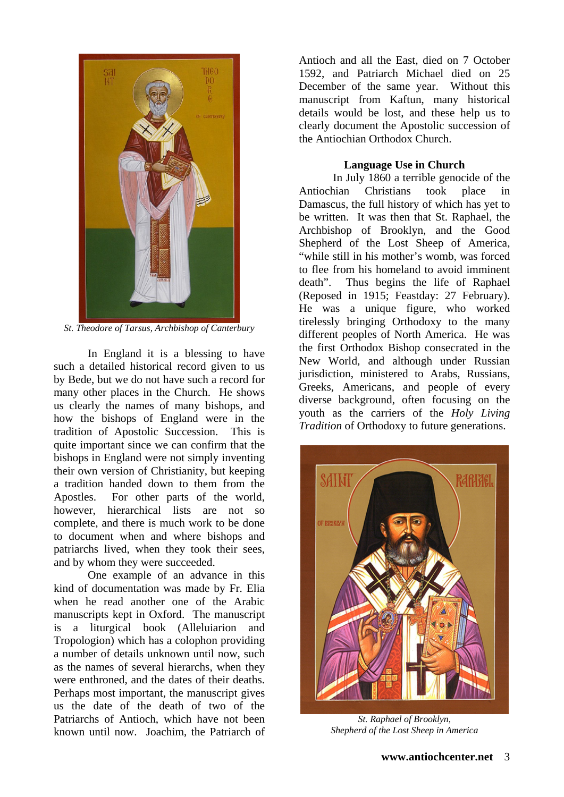

*St. Theodore of Tarsus, Archbishop of Canterbury* 

 In England it is a blessing to have such a detailed historical record given to us by Bede, but we do not have such a record for many other places in the Church. He shows us clearly the names of many bishops, and how the bishops of England were in the tradition of Apostolic Succession. This is quite important since we can confirm that the bishops in England were not simply inventing their own version of Christianity, but keeping a tradition handed down to them from the Apostles. For other parts of the world, however, hierarchical lists are not so complete, and there is much work to be done to document when and where bishops and patriarchs lived, when they took their sees, and by whom they were succeeded.

 One example of an advance in this kind of documentation was made by Fr. Elia when he read another one of the Arabic manuscripts kept in Oxford. The manuscript is a liturgical book (Alleluiarion and Tropologion) which has a colophon providing a number of details unknown until now, such as the names of several hierarchs, when they were enthroned, and the dates of their deaths. Perhaps most important, the manuscript gives us the date of the death of two of the Patriarchs of Antioch, which have not been known until now. Joachim, the Patriarch of

Antioch and all the East, died on 7 October 1592, and Patriarch Michael died on 25 December of the same year. Without this manuscript from Kaftun, many historical details would be lost, and these help us to clearly document the Apostolic succession of the Antiochian Orthodox Church.

# **Language Use in Church**

 In July 1860 a terrible genocide of the Antiochian Christians took place in Damascus, the full history of which has yet to be written. It was then that St. Raphael, the Archbishop of Brooklyn, and the Good Shepherd of the Lost Sheep of America, "while still in his mother's womb, was forced to flee from his homeland to avoid imminent death". Thus begins the life of Raphael (Reposed in 1915; Feastday: 27 February). He was a unique figure, who worked tirelessly bringing Orthodoxy to the many different peoples of North America. He was the first Orthodox Bishop consecrated in the New World, and although under Russian jurisdiction, ministered to Arabs, Russians, Greeks, Americans, and people of every diverse background, often focusing on the youth as the carriers of the *Holy Living Tradition* of Orthodoxy to future generations.



*St. Raphael of Brooklyn, Shepherd of the Lost Sheep in America*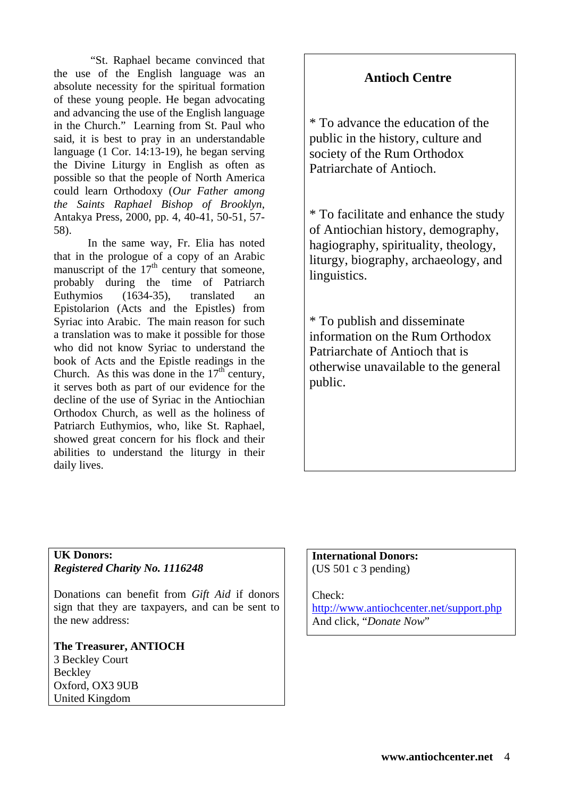"St. Raphael became convinced that the use of the English language was an absolute necessity for the spiritual formation of these young people. He began advocating and advancing the use of the English language in the Church." Learning from St. Paul who said, it is best to pray in an understandable language (1 Cor. 14:13-19), he began serving the Divine Liturgy in English as often as possible so that the people of North America could learn Orthodoxy (*Our Father among the Saints Raphael Bishop of Brooklyn*, Antakya Press, 2000, pp. 4, 40-41, 50-51, 57- 58).

 In the same way, Fr. Elia has noted that in the prologue of a copy of an Arabic manuscript of the  $17<sup>th</sup>$  century that someone, probably during the time of Patriarch Euthymios (1634-35), translated an Epistolarion (Acts and the Epistles) from Syriac into Arabic. The main reason for such a translation was to make it possible for those who did not know Syriac to understand the book of Acts and the Epistle readings in the Church. As this was done in the  $17<sup>th</sup>$  century, it serves both as part of our evidence for the decline of the use of Syriac in the Antiochian Orthodox Church, as well as the holiness of Patriarch Euthymios, who, like St. Raphael, showed great concern for his flock and their abilities to understand the liturgy in their daily lives.

# **Antioch Centre**

\* To advance the education of the public in the history, culture and society of the Rum Orthodox Patriarchate of Antioch.

\* To facilitate and enhance the study of Antiochian history, demography, hagiography, spirituality, theology, liturgy, biography, archaeology, and linguistics.

\* To publish and disseminate information on the Rum Orthodox Patriarchate of Antioch that is otherwise unavailable to the general public.

# **UK Donors:**  *Registered Charity No. 1116248*

Donations can benefit from *Gift Aid* if donors sign that they are taxpayers, and can be sent to the new address:

#### **The Treasurer, ANTIOCH**  3 Beckley Court **Beckley** Oxford, OX3 9UB United Kingdom

## **International Donors:**  (US 501 c 3 pending)

## Check:

<http://www.antiochcenter.net/support.php> And click, "*Donate Now*"